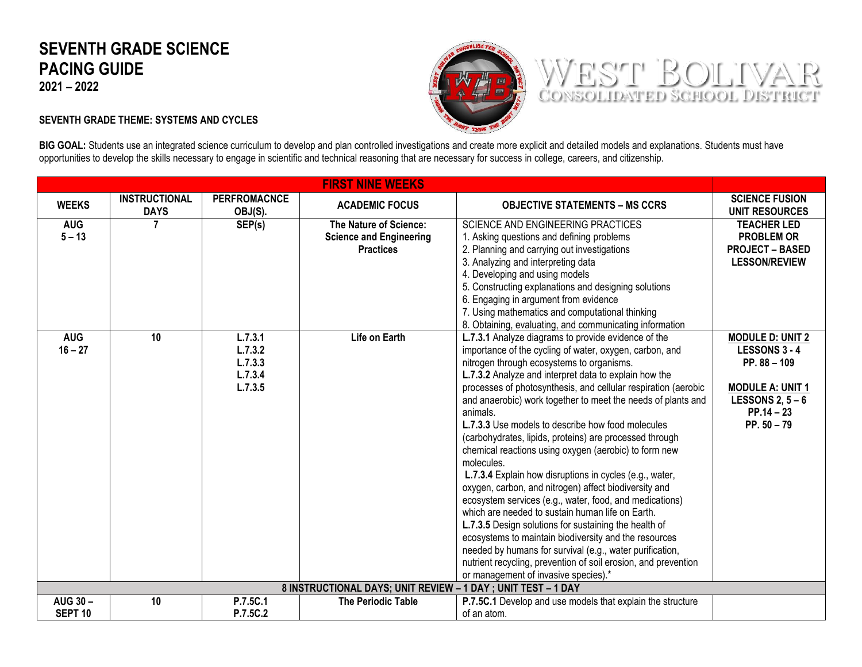## **SEVENTH GRADE SCIENCE PACING GUIDE**

**2021 – 2022**



WEST BOLIVAR

## **SEVENTH GRADE THEME: SYSTEMS AND CYCLES**

BIG GOAL: Students use an integrated science curriculum to develop and plan controlled investigations and create more explicit and detailed models and explanations. Students must have opportunities to develop the skills necessary to engage in scientific and technical reasoning that are necessary for success in college, careers, and citizenship.

| <b>FIRST NINE WEEKS</b>                                       |                                     |                                |                                |                                                                |                                                |
|---------------------------------------------------------------|-------------------------------------|--------------------------------|--------------------------------|----------------------------------------------------------------|------------------------------------------------|
| <b>WEEKS</b>                                                  | <b>INSTRUCTIONAL</b><br><b>DAYS</b> | <b>PERFROMACNCE</b><br>OBJ(S). | <b>ACADEMIC FOCUS</b>          | <b>OBJECTIVE STATEMENTS – MS CCRS</b>                          | <b>SCIENCE FUSION</b><br><b>UNIT RESOURCES</b> |
| <b>AUG</b>                                                    | 7                                   | SEP(s)                         | The Nature of Science:         | SCIENCE AND ENGINEERING PRACTICES                              | <b>TEACHER LED</b>                             |
| $5 - 13$                                                      |                                     |                                | <b>Science and Engineering</b> | 1. Asking questions and defining problems                      | <b>PROBLEM OR</b>                              |
|                                                               |                                     |                                | <b>Practices</b>               | 2. Planning and carrying out investigations                    | <b>PROJECT - BASED</b>                         |
|                                                               |                                     |                                |                                | 3. Analyzing and interpreting data                             | <b>LESSON/REVIEW</b>                           |
|                                                               |                                     |                                |                                | 4. Developing and using models                                 |                                                |
|                                                               |                                     |                                |                                | 5. Constructing explanations and designing solutions           |                                                |
|                                                               |                                     |                                |                                | 6. Engaging in argument from evidence                          |                                                |
|                                                               |                                     |                                |                                | 7. Using mathematics and computational thinking                |                                                |
|                                                               |                                     |                                |                                | 8. Obtaining, evaluating, and communicating information        |                                                |
| <b>AUG</b>                                                    | $\overline{10}$                     | L.7.3.1                        | Life on Earth                  | L.7.3.1 Analyze diagrams to provide evidence of the            | <b>MODULE D: UNIT 2</b>                        |
| $16 - 27$                                                     |                                     | L.7.3.2                        |                                | importance of the cycling of water, oxygen, carbon, and        | <b>LESSONS 3 - 4</b>                           |
|                                                               |                                     | L.7.3.3                        |                                | nitrogen through ecosystems to organisms.                      | $PP. 88 - 109$                                 |
|                                                               |                                     | L.7.3.4                        |                                | L.7.3.2 Analyze and interpret data to explain how the          |                                                |
|                                                               |                                     | L.7.3.5                        |                                | processes of photosynthesis, and cellular respiration (aerobic | <b>MODULE A: UNIT 1</b>                        |
|                                                               |                                     |                                |                                | and anaerobic) work together to meet the needs of plants and   | LESSONS 2, $5 - 6$                             |
|                                                               |                                     |                                |                                | animals.                                                       | $PP.14 - 23$                                   |
|                                                               |                                     |                                |                                | L.7.3.3 Use models to describe how food molecules              | PP. $50 - 79$                                  |
|                                                               |                                     |                                |                                | (carbohydrates, lipids, proteins) are processed through        |                                                |
|                                                               |                                     |                                |                                | chemical reactions using oxygen (aerobic) to form new          |                                                |
|                                                               |                                     |                                |                                | molecules.                                                     |                                                |
|                                                               |                                     |                                |                                | L.7.3.4 Explain how disruptions in cycles (e.g., water,        |                                                |
|                                                               |                                     |                                |                                | oxygen, carbon, and nitrogen) affect biodiversity and          |                                                |
|                                                               |                                     |                                |                                | ecosystem services (e.g., water, food, and medications)        |                                                |
|                                                               |                                     |                                |                                | which are needed to sustain human life on Earth.               |                                                |
|                                                               |                                     |                                |                                | L.7.3.5 Design solutions for sustaining the health of          |                                                |
|                                                               |                                     |                                |                                | ecosystems to maintain biodiversity and the resources          |                                                |
|                                                               |                                     |                                |                                | needed by humans for survival (e.g., water purification,       |                                                |
|                                                               |                                     |                                |                                | nutrient recycling, prevention of soil erosion, and prevention |                                                |
|                                                               |                                     |                                |                                | or management of invasive species).*                           |                                                |
| 8 INSTRUCTIONAL DAYS; UNIT REVIEW - 1 DAY ; UNIT TEST - 1 DAY |                                     |                                |                                |                                                                |                                                |
| <b>AUG 30-</b>                                                | 10                                  | P.7.5C.1                       | <b>The Periodic Table</b>      | P.7.5C.1 Develop and use models that explain the structure     |                                                |
| SEPT <sub>10</sub>                                            |                                     | P.7.5C.2                       |                                | of an atom.                                                    |                                                |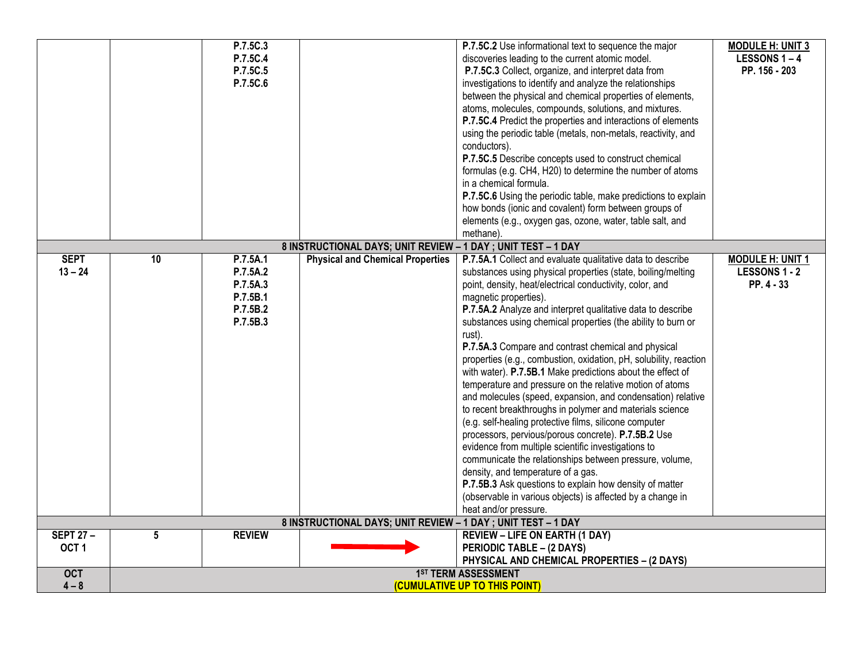|                                     |                                                      | P.7.5C.3<br>P.7.5C.4<br>P.7.5C.5<br>P.7.5C.6                         |                                                               | P.7.5C.2 Use informational text to sequence the major<br>discoveries leading to the current atomic model.<br>P.7.5C.3 Collect, organize, and interpret data from<br>investigations to identify and analyze the relationships<br>between the physical and chemical properties of elements,<br>atoms, molecules, compounds, solutions, and mixtures.<br>P.7.5C.4 Predict the properties and interactions of elements<br>using the periodic table (metals, non-metals, reactivity, and<br>conductors).<br>P.7.5C.5 Describe concepts used to construct chemical<br>formulas (e.g. CH4, H20) to determine the number of atoms<br>in a chemical formula.<br>P.7.5C.6 Using the periodic table, make predictions to explain<br>how bonds (ionic and covalent) form between groups of<br>elements (e.g., oxygen gas, ozone, water, table salt, and<br>methane).                                                                                                                                                                                                                                                                                                             | <b>MODULE H: UNIT 3</b><br><b>LESSONS 1-4</b><br>PP. 156 - 203 |
|-------------------------------------|------------------------------------------------------|----------------------------------------------------------------------|---------------------------------------------------------------|----------------------------------------------------------------------------------------------------------------------------------------------------------------------------------------------------------------------------------------------------------------------------------------------------------------------------------------------------------------------------------------------------------------------------------------------------------------------------------------------------------------------------------------------------------------------------------------------------------------------------------------------------------------------------------------------------------------------------------------------------------------------------------------------------------------------------------------------------------------------------------------------------------------------------------------------------------------------------------------------------------------------------------------------------------------------------------------------------------------------------------------------------------------------|----------------------------------------------------------------|
|                                     |                                                      |                                                                      | 8 INSTRUCTIONAL DAYS; UNIT REVIEW - 1 DAY ; UNIT TEST - 1 DAY |                                                                                                                                                                                                                                                                                                                                                                                                                                                                                                                                                                                                                                                                                                                                                                                                                                                                                                                                                                                                                                                                                                                                                                      |                                                                |
| <b>SEPT</b><br>$13 - 24$            | 10                                                   | P.7.5A.1<br>P.7.5A.2<br>P.7.5A.3<br>P.7.5B.1<br>P.7.5B.2<br>P.7.5B.3 | <b>Physical and Chemical Properties</b>                       | P.7.5A.1 Collect and evaluate qualitative data to describe<br>substances using physical properties (state, boiling/melting<br>point, density, heat/electrical conductivity, color, and<br>magnetic properties).<br>P.7.5A.2 Analyze and interpret qualitative data to describe<br>substances using chemical properties (the ability to burn or<br>rust).<br>P.7.5A.3 Compare and contrast chemical and physical<br>properties (e.g., combustion, oxidation, pH, solubility, reaction<br>with water). P.7.5B.1 Make predictions about the effect of<br>temperature and pressure on the relative motion of atoms<br>and molecules (speed, expansion, and condensation) relative<br>to recent breakthroughs in polymer and materials science<br>(e.g. self-healing protective films, silicone computer<br>processors, pervious/porous concrete). P.7.5B.2 Use<br>evidence from multiple scientific investigations to<br>communicate the relationships between pressure, volume,<br>density, and temperature of a gas.<br>P.7.5B.3 Ask questions to explain how density of matter<br>(observable in various objects) is affected by a change in<br>heat and/or pressure. | <b>MODULE H: UNIT 1</b><br><b>LESSONS 1 - 2</b><br>PP. 4 - 33  |
|                                     |                                                      |                                                                      | 8 INSTRUCTIONAL DAYS; UNIT REVIEW - 1 DAY ; UNIT TEST - 1 DAY |                                                                                                                                                                                                                                                                                                                                                                                                                                                                                                                                                                                                                                                                                                                                                                                                                                                                                                                                                                                                                                                                                                                                                                      |                                                                |
| <b>SEPT 27-</b><br>OCT <sub>1</sub> | 5                                                    | <b>REVIEW</b>                                                        |                                                               | <b>REVIEW - LIFE ON EARTH (1 DAY)</b><br>PERIODIC TABLE - (2 DAYS)<br>PHYSICAL AND CHEMICAL PROPERTIES - (2 DAYS)                                                                                                                                                                                                                                                                                                                                                                                                                                                                                                                                                                                                                                                                                                                                                                                                                                                                                                                                                                                                                                                    |                                                                |
| <b>OCT</b><br>$4 - 8$               | 1ST TERM ASSESSMENT<br>(CUMULATIVE UP TO THIS POINT) |                                                                      |                                                               |                                                                                                                                                                                                                                                                                                                                                                                                                                                                                                                                                                                                                                                                                                                                                                                                                                                                                                                                                                                                                                                                                                                                                                      |                                                                |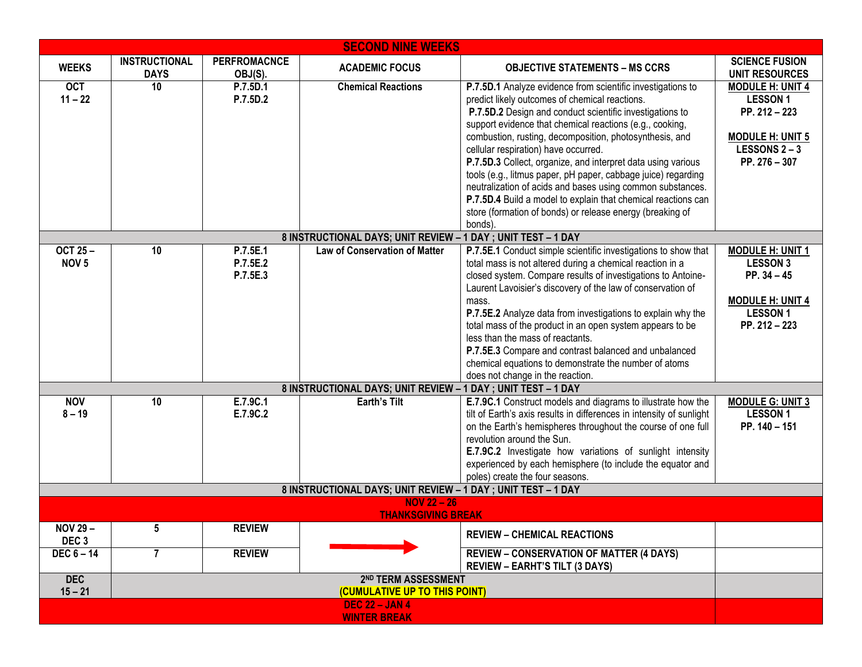| <b>SECOND NINE WEEKS</b>                                     |                                     |                                                          |                                                                                                                |                                                                                                                                                                                                                                                                                                                                                                                                                                                                                                                                                                                                                                                                                                                                                                                                                                                                                                                                                             |                                                                                                                                                                                         |  |
|--------------------------------------------------------------|-------------------------------------|----------------------------------------------------------|----------------------------------------------------------------------------------------------------------------|-------------------------------------------------------------------------------------------------------------------------------------------------------------------------------------------------------------------------------------------------------------------------------------------------------------------------------------------------------------------------------------------------------------------------------------------------------------------------------------------------------------------------------------------------------------------------------------------------------------------------------------------------------------------------------------------------------------------------------------------------------------------------------------------------------------------------------------------------------------------------------------------------------------------------------------------------------------|-----------------------------------------------------------------------------------------------------------------------------------------------------------------------------------------|--|
| <b>WEEKS</b>                                                 | <b>INSTRUCTIONAL</b><br><b>DAYS</b> | <b>PERFROMACNCE</b><br>OBJ(S).                           | <b>ACADEMIC FOCUS</b>                                                                                          | <b>OBJECTIVE STATEMENTS - MS CCRS</b>                                                                                                                                                                                                                                                                                                                                                                                                                                                                                                                                                                                                                                                                                                                                                                                                                                                                                                                       | <b>SCIENCE FUSION</b><br><b>UNIT RESOURCES</b>                                                                                                                                          |  |
| <b>OCT</b><br>$11 - 22$                                      | 10                                  | P.7.5D.1<br>P.7.5D.2                                     | <b>Chemical Reactions</b>                                                                                      | P.7.5D.1 Analyze evidence from scientific investigations to<br>predict likely outcomes of chemical reactions.<br>P.7.5D.2 Design and conduct scientific investigations to<br>support evidence that chemical reactions (e.g., cooking,<br>combustion, rusting, decomposition, photosynthesis, and<br>cellular respiration) have occurred.<br>P.7.5D.3 Collect, organize, and interpret data using various<br>tools (e.g., litmus paper, pH paper, cabbage juice) regarding<br>neutralization of acids and bases using common substances.<br>P.7.5D.4 Build a model to explain that chemical reactions can<br>store (formation of bonds) or release energy (breaking of<br>bonds).                                                                                                                                                                                                                                                                            | <b>MODULE H: UNIT 4</b><br><b>LESSON1</b><br>PP. 212 - 223<br><b>MODULE H: UNIT 5</b><br><b>LESSONS 2-3</b><br>PP. 276 - 307                                                            |  |
|                                                              |                                     |                                                          | 8 INSTRUCTIONAL DAYS; UNIT REVIEW - 1 DAY ; UNIT TEST - 1 DAY                                                  |                                                                                                                                                                                                                                                                                                                                                                                                                                                                                                                                                                                                                                                                                                                                                                                                                                                                                                                                                             |                                                                                                                                                                                         |  |
| <b>OCT 25-</b><br>NOV <sub>5</sub><br><b>NOV</b><br>$8 - 19$ | 10<br>10                            | P.7.5E.1<br>P.7.5E.2<br>P.7.5E.3<br>E.7.9C.1<br>E.7.9C.2 | Law of Conservation of Matter<br>8 INSTRUCTIONAL DAYS; UNIT REVIEW - 1 DAY ; UNIT TEST - 1 DAY<br>Earth's Tilt | P.7.5E.1 Conduct simple scientific investigations to show that<br>total mass is not altered during a chemical reaction in a<br>closed system. Compare results of investigations to Antoine-<br>Laurent Lavoisier's discovery of the law of conservation of<br>mass.<br>P.7.5E.2 Analyze data from investigations to explain why the<br>total mass of the product in an open system appears to be<br>less than the mass of reactants.<br>P.7.5E.3 Compare and contrast balanced and unbalanced<br>chemical equations to demonstrate the number of atoms<br>does not change in the reaction.<br>E.7.9C.1 Construct models and diagrams to illustrate how the<br>tilt of Earth's axis results in differences in intensity of sunlight<br>on the Earth's hemispheres throughout the course of one full<br>revolution around the Sun.<br>E.7.9C.2 Investigate how variations of sunlight intensity<br>experienced by each hemisphere (to include the equator and | <b>MODULE H: UNIT 1</b><br><b>LESSON 3</b><br>PP. $34 - 45$<br><b>MODULE H: UNIT 4</b><br><b>LESSON1</b><br>PP. 212 - 223<br><b>MODULE G: UNIT 3</b><br><b>LESSON1</b><br>PP. 140 - 151 |  |
|                                                              |                                     |                                                          |                                                                                                                | poles) create the four seasons.                                                                                                                                                                                                                                                                                                                                                                                                                                                                                                                                                                                                                                                                                                                                                                                                                                                                                                                             |                                                                                                                                                                                         |  |
|                                                              |                                     |                                                          | 8 INSTRUCTIONAL DAYS; UNIT REVIEW - 1 DAY ; UNIT TEST - 1 DAY<br><b>NOV 22 - 26</b>                            |                                                                                                                                                                                                                                                                                                                                                                                                                                                                                                                                                                                                                                                                                                                                                                                                                                                                                                                                                             |                                                                                                                                                                                         |  |
| <b>THANKSGIVING BREAK</b>                                    |                                     |                                                          |                                                                                                                |                                                                                                                                                                                                                                                                                                                                                                                                                                                                                                                                                                                                                                                                                                                                                                                                                                                                                                                                                             |                                                                                                                                                                                         |  |
| <b>NOV 29 –</b><br>DEC <sub>3</sub>                          | 5                                   | <b>REVIEW</b>                                            |                                                                                                                | <b>REVIEW - CHEMICAL REACTIONS</b>                                                                                                                                                                                                                                                                                                                                                                                                                                                                                                                                                                                                                                                                                                                                                                                                                                                                                                                          |                                                                                                                                                                                         |  |
| DEC 6 - 14                                                   | 7                                   | <b>REVIEW</b>                                            |                                                                                                                | <b>REVIEW - CONSERVATION OF MATTER (4 DAYS)</b><br><b>REVIEW - EARHT'S TILT (3 DAYS)</b>                                                                                                                                                                                                                                                                                                                                                                                                                                                                                                                                                                                                                                                                                                                                                                                                                                                                    |                                                                                                                                                                                         |  |
| <b>DEC</b>                                                   | 2ND TERM ASSESSMENT                 |                                                          |                                                                                                                |                                                                                                                                                                                                                                                                                                                                                                                                                                                                                                                                                                                                                                                                                                                                                                                                                                                                                                                                                             |                                                                                                                                                                                         |  |
| $15 - 21$                                                    | (CUMULATIVE UP TO THIS POINT)       |                                                          |                                                                                                                |                                                                                                                                                                                                                                                                                                                                                                                                                                                                                                                                                                                                                                                                                                                                                                                                                                                                                                                                                             |                                                                                                                                                                                         |  |
| <b>DEC 22 - JAN 4</b><br><b>WINTER BREAK</b>                 |                                     |                                                          |                                                                                                                |                                                                                                                                                                                                                                                                                                                                                                                                                                                                                                                                                                                                                                                                                                                                                                                                                                                                                                                                                             |                                                                                                                                                                                         |  |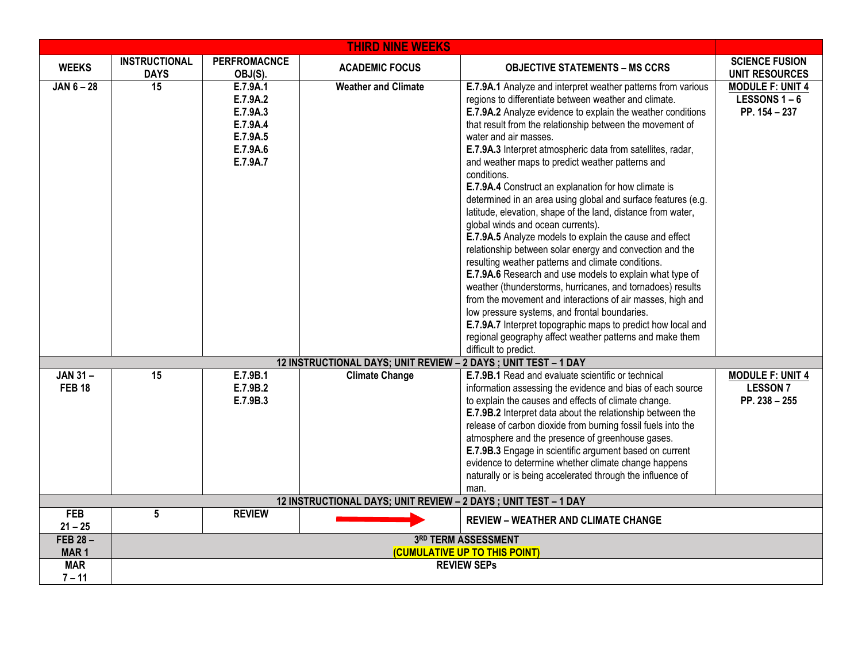| <b>THIRD NINE WEEKS</b>                                         |                                                     |                                                                                  |                                                                 |                                                                                                                                                                                                                                                                                                                                                                                                                                                                                                                                                                                                                                                                                                                                                                                                                                                                                                                                                                                                                                                                                                                                                                                                                       |                                                                |  |
|-----------------------------------------------------------------|-----------------------------------------------------|----------------------------------------------------------------------------------|-----------------------------------------------------------------|-----------------------------------------------------------------------------------------------------------------------------------------------------------------------------------------------------------------------------------------------------------------------------------------------------------------------------------------------------------------------------------------------------------------------------------------------------------------------------------------------------------------------------------------------------------------------------------------------------------------------------------------------------------------------------------------------------------------------------------------------------------------------------------------------------------------------------------------------------------------------------------------------------------------------------------------------------------------------------------------------------------------------------------------------------------------------------------------------------------------------------------------------------------------------------------------------------------------------|----------------------------------------------------------------|--|
| <b>WEEKS</b>                                                    | <b>INSTRUCTIONAL</b><br><b>DAYS</b>                 | <b>PERFROMACNCE</b><br>OBJ(S).                                                   | <b>ACADEMIC FOCUS</b>                                           | <b>OBJECTIVE STATEMENTS - MS CCRS</b>                                                                                                                                                                                                                                                                                                                                                                                                                                                                                                                                                                                                                                                                                                                                                                                                                                                                                                                                                                                                                                                                                                                                                                                 | <b>SCIENCE FUSION</b><br><b>UNIT RESOURCES</b>                 |  |
| $JAN 6 - 28$                                                    | 15                                                  | E.7.9A.1<br>E.7.9A.2<br>E.7.9A.3<br>E.7.9A.4<br>E.7.9A.5<br>E.7.9A.6<br>E.7.9A.7 | <b>Weather and Climate</b>                                      | E.7.9A.1 Analyze and interpret weather patterns from various<br>regions to differentiate between weather and climate.<br>E.7.9A.2 Analyze evidence to explain the weather conditions<br>that result from the relationship between the movement of<br>water and air masses.<br>E.7.9A.3 Interpret atmospheric data from satellites, radar,<br>and weather maps to predict weather patterns and<br>conditions.<br>E.7.9A.4 Construct an explanation for how climate is<br>determined in an area using global and surface features (e.g.<br>latitude, elevation, shape of the land, distance from water,<br>global winds and ocean currents).<br>E.7.9A.5 Analyze models to explain the cause and effect<br>relationship between solar energy and convection and the<br>resulting weather patterns and climate conditions.<br>E.7.9A.6 Research and use models to explain what type of<br>weather (thunderstorms, hurricanes, and tornadoes) results<br>from the movement and interactions of air masses, high and<br>low pressure systems, and frontal boundaries.<br>E.7.9A.7 Interpret topographic maps to predict how local and<br>regional geography affect weather patterns and make them<br>difficult to predict. | <b>MODULE F: UNIT 4</b><br><b>LESSONS 1-6</b><br>PP. 154 - 237 |  |
|                                                                 |                                                     |                                                                                  | 12 INSTRUCTIONAL DAYS; UNIT REVIEW - 2 DAYS ; UNIT TEST - 1 DAY |                                                                                                                                                                                                                                                                                                                                                                                                                                                                                                                                                                                                                                                                                                                                                                                                                                                                                                                                                                                                                                                                                                                                                                                                                       |                                                                |  |
| $JAN 31 -$<br><b>FEB 18</b>                                     | $\overline{15}$                                     | E.7.9B.1<br>E.7.9B.2<br>E.7.9B.3                                                 | <b>Climate Change</b>                                           | E.7.9B.1 Read and evaluate scientific or technical<br>information assessing the evidence and bias of each source<br>to explain the causes and effects of climate change.<br>E.7.9B.2 Interpret data about the relationship between the<br>release of carbon dioxide from burning fossil fuels into the<br>atmosphere and the presence of greenhouse gases.<br>E.7.9B.3 Engage in scientific argument based on current<br>evidence to determine whether climate change happens<br>naturally or is being accelerated through the influence of<br>man.                                                                                                                                                                                                                                                                                                                                                                                                                                                                                                                                                                                                                                                                   | <b>MODULE F: UNIT 4</b><br><b>LESSON7</b><br>PP. 238 - 255     |  |
| 12 INSTRUCTIONAL DAYS; UNIT REVIEW - 2 DAYS ; UNIT TEST - 1 DAY |                                                     |                                                                                  |                                                                 |                                                                                                                                                                                                                                                                                                                                                                                                                                                                                                                                                                                                                                                                                                                                                                                                                                                                                                                                                                                                                                                                                                                                                                                                                       |                                                                |  |
| <b>FEB</b><br>$21 - 25$                                         | 5                                                   | <b>REVIEW</b>                                                                    |                                                                 | <b>REVIEW - WEATHER AND CLIMATE CHANGE</b>                                                                                                                                                                                                                                                                                                                                                                                                                                                                                                                                                                                                                                                                                                                                                                                                                                                                                                                                                                                                                                                                                                                                                                            |                                                                |  |
| FEB 28-                                                         |                                                     |                                                                                  |                                                                 | 3RD TERM ASSESSMENT                                                                                                                                                                                                                                                                                                                                                                                                                                                                                                                                                                                                                                                                                                                                                                                                                                                                                                                                                                                                                                                                                                                                                                                                   |                                                                |  |
| MAR <sub>1</sub>                                                | (CUMULATIVE UP TO THIS POINT)<br><b>REVIEW SEPS</b> |                                                                                  |                                                                 |                                                                                                                                                                                                                                                                                                                                                                                                                                                                                                                                                                                                                                                                                                                                                                                                                                                                                                                                                                                                                                                                                                                                                                                                                       |                                                                |  |
| <b>MAR</b><br>$7 - 11$                                          |                                                     |                                                                                  |                                                                 |                                                                                                                                                                                                                                                                                                                                                                                                                                                                                                                                                                                                                                                                                                                                                                                                                                                                                                                                                                                                                                                                                                                                                                                                                       |                                                                |  |